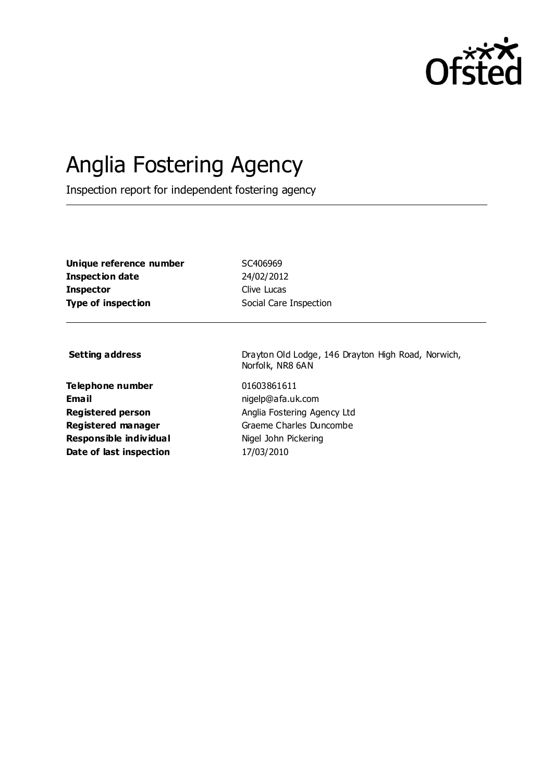

# Anglia Fostering Agency

Inspection report for independent fostering agency

| Unique reference number   |
|---------------------------|
| Inspection date           |
| <b>Inspector</b>          |
| <b>Type of inspection</b> |

SC406969 **Inspection date** 24/02/2012 **Clive Lucas Social Care Inspection** 

**Telephone number** 01603861611 **Email** nigelp@afa.uk.com **Responsible individual** Nigel John Pickering **Date of last inspection** 17/03/2010

**Setting address** Drayton Old Lodge, 146 Drayton High Road, Norwich, Norfolk, NR8 6AN

**Registered person** Anglia Fostering Agency Ltd **Registered manager** Graeme Charles Duncombe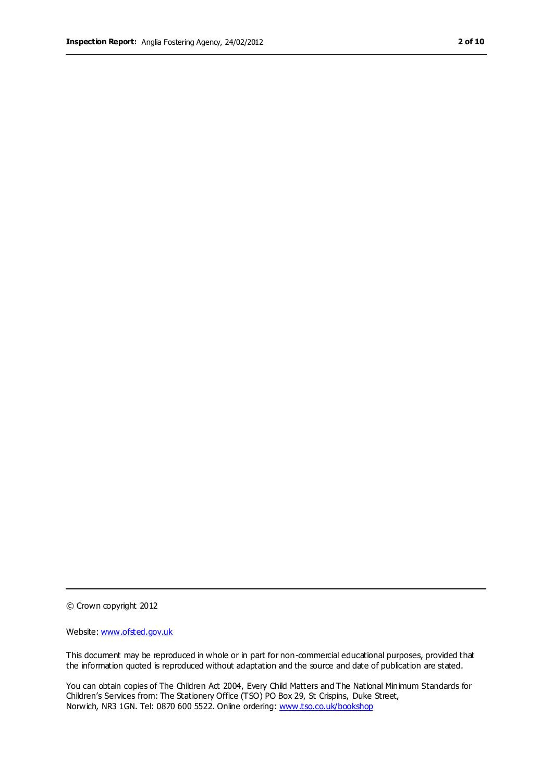© Crown copyright 2012

Website: www.ofsted.gov.uk

This document may be reproduced in whole or in part for non-commercial educational purposes, provided that the information quoted is reproduced without adaptation and the source and date of publication are stated.

You can obtain copies of The Children Act 2004, Every Child Matters and The National Minimum Standards for Children's Services from: The Stationery Office (TSO) PO Box 29, St Crispins, Duke Street, Norwich, NR3 1GN. Tel: 0870 600 5522. Online ordering: www.tso.co.uk/bookshop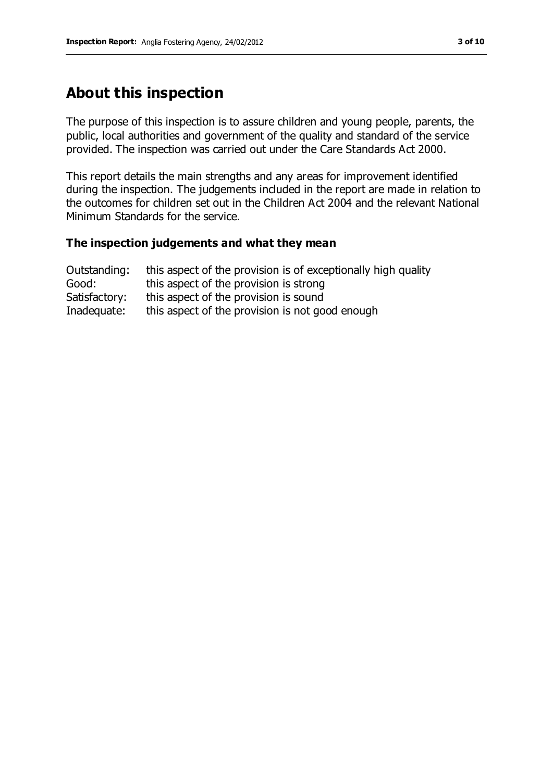# **About this inspection**

The purpose of this inspection is to assure children and young people, parents, the public, local authorities and government of the quality and standard of the service provided. The inspection was carried out under the Care Standards Act 2000.

This report details the main strengths and any areas for improvement identified during the inspection. The judgements included in the report are made in relation to the outcomes for children set out in the Children Act 2004 and the relevant National Minimum Standards for the service.

#### **The inspection judgements and what they mean**

| Outstanding:  | this aspect of the provision is of exceptionally high quality |
|---------------|---------------------------------------------------------------|
| Good:         | this aspect of the provision is strong                        |
| Satisfactory: | this aspect of the provision is sound                         |
| Inadequate:   | this aspect of the provision is not good enough               |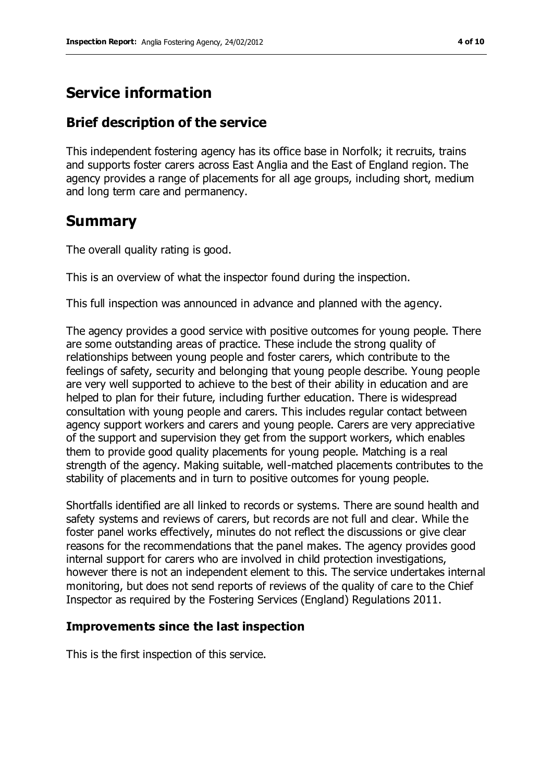# **Service information**

## **Brief description of the service**

This independent fostering agency has its office base in Norfolk; it recruits, trains and supports foster carers across East Anglia and the East of England region. The agency provides a range of placements for all age groups, including short, medium and long term care and permanency.

## **Summary**

The overall quality rating is good.

This is an overview of what the inspector found during the inspection.

This full inspection was announced in advance and planned with the agency.

The agency provides a good service with positive outcomes for young people. There are some outstanding areas of practice. These include the strong quality of relationships between young people and foster carers, which contribute to the feelings of safety, security and belonging that young people describe. Young people are very well supported to achieve to the best of their ability in education and are helped to plan for their future, including further education. There is widespread consultation with young people and carers. This includes regular contact between agency support workers and carers and young people. Carers are very appreciative of the support and supervision they get from the support workers, which enables them to provide good quality placements for young people. Matching is a real strength of the agency. Making suitable, well-matched placements contributes to the stability of placements and in turn to positive outcomes for young people.

Shortfalls identified are all linked to records or systems. There are sound health and safety systems and reviews of carers, but records are not full and clear. While the foster panel works effectively, minutes do not reflect the discussions or give clear reasons for the recommendations that the panel makes. The agency provides good internal support for carers who are involved in child protection investigations, however there is not an independent element to this. The service undertakes internal monitoring, but does not send reports of reviews of the quality of care to the Chief Inspector as required by the Fostering Services (England) Regulations 2011.

#### **Improvements since the last inspection**

This is the first inspection of this service.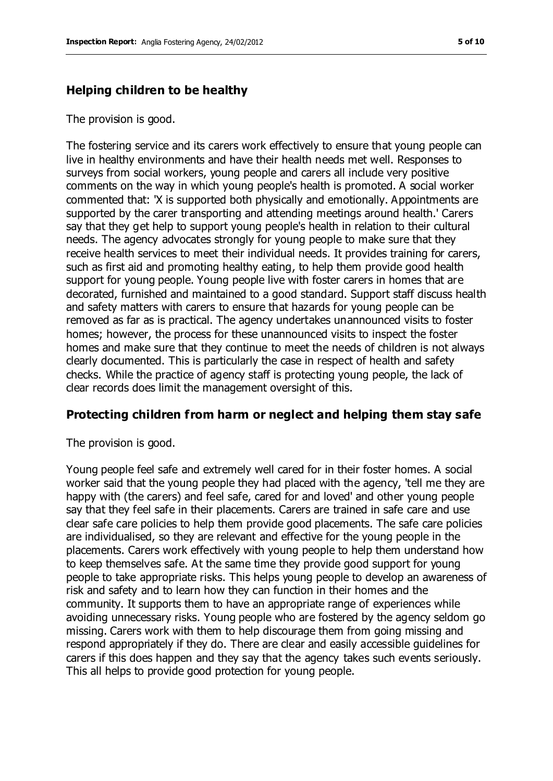## **Helping children to be healthy**

The provision is good.

The fostering service and its carers work effectively to ensure that young people can live in healthy environments and have their health needs met well. Responses to surveys from social workers, young people and carers all include very positive comments on the way in which young people's health is promoted. A social worker commented that: 'X is supported both physically and emotionally. Appointments are supported by the carer transporting and attending meetings around health.' Carers say that they get help to support young people's health in relation to their cultural needs. The agency advocates strongly for young people to make sure that they receive health services to meet their individual needs. It provides training for carers, such as first aid and promoting healthy eating, to help them provide good health support for young people. Young people live with foster carers in homes that are decorated, furnished and maintained to a good standard. Support staff discuss health and safety matters with carers to ensure that hazards for young people can be removed as far as is practical. The agency undertakes unannounced visits to foster homes; however, the process for these unannounced visits to inspect the foster homes and make sure that they continue to meet the needs of children is not always clearly documented. This is particularly the case in respect of health and safety checks. While the practice of agency staff is protecting young people, the lack of clear records does limit the management oversight of this.

## **Protecting children from harm or neglect and helping them stay safe**

The provision is good.

Young people feel safe and extremely well cared for in their foster homes. A social worker said that the young people they had placed with the agency, 'tell me they are happy with (the carers) and feel safe, cared for and loved' and other young people say that they feel safe in their placements. Carers are trained in safe care and use clear safe care policies to help them provide good placements. The safe care policies are individualised, so they are relevant and effective for the young people in the placements. Carers work effectively with young people to help them understand how to keep themselves safe. At the same time they provide good support for young people to take appropriate risks. This helps young people to develop an awareness of risk and safety and to learn how they can function in their homes and the community. It supports them to have an appropriate range of experiences while avoiding unnecessary risks. Young people who are fostered by the agency seldom go missing. Carers work with them to help discourage them from going missing and respond appropriately if they do. There are clear and easily accessible guidelines for carers if this does happen and they say that the agency takes such events seriously. This all helps to provide good protection for young people.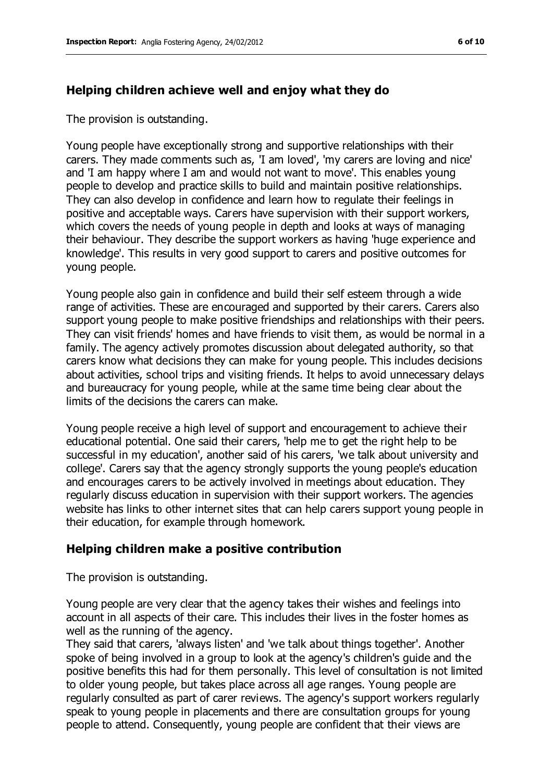## **Helping children achieve well and enjoy what they do**

The provision is outstanding.

Young people have exceptionally strong and supportive relationships with their carers. They made comments such as, 'I am loved', 'my carers are loving and nice' and 'I am happy where I am and would not want to move'. This enables young people to develop and practice skills to build and maintain positive relationships. They can also develop in confidence and learn how to regulate their feelings in positive and acceptable ways. Carers have supervision with their support workers, which covers the needs of young people in depth and looks at ways of managing their behaviour. They describe the support workers as having 'huge experience and knowledge'. This results in very good support to carers and positive outcomes for young people.

Young people also gain in confidence and build their self esteem through a wide range of activities. These are encouraged and supported by their carers. Carers also support young people to make positive friendships and relationships with their peers. They can visit friends' homes and have friends to visit them, as would be normal in a family. The agency actively promotes discussion about delegated authority, so that carers know what decisions they can make for young people. This includes decisions about activities, school trips and visiting friends. It helps to avoid unnecessary delays and bureaucracy for young people, while at the same time being clear about the limits of the decisions the carers can make.

Young people receive a high level of support and encouragement to achieve their educational potential. One said their carers, 'help me to get the right help to be successful in my education', another said of his carers, 'we talk about university and college'. Carers say that the agency strongly supports the young people's education and encourages carers to be actively involved in meetings about education. They regularly discuss education in supervision with their support workers. The agencies website has links to other internet sites that can help carers support young people in their education, for example through homework.

#### **Helping children make a positive contribution**

The provision is outstanding.

Young people are very clear that the agency takes their wishes and feelings into account in all aspects of their care. This includes their lives in the foster homes as well as the running of the agency.

They said that carers, 'always listen' and 'we talk about things together'. Another spoke of being involved in a group to look at the agency's children's guide and the positive benefits this had for them personally. This level of consultation is not limited to older young people, but takes place across all age ranges. Young people are regularly consulted as part of carer reviews. The agency's support workers regularly speak to young people in placements and there are consultation groups for young people to attend. Consequently, young people are confident that their views are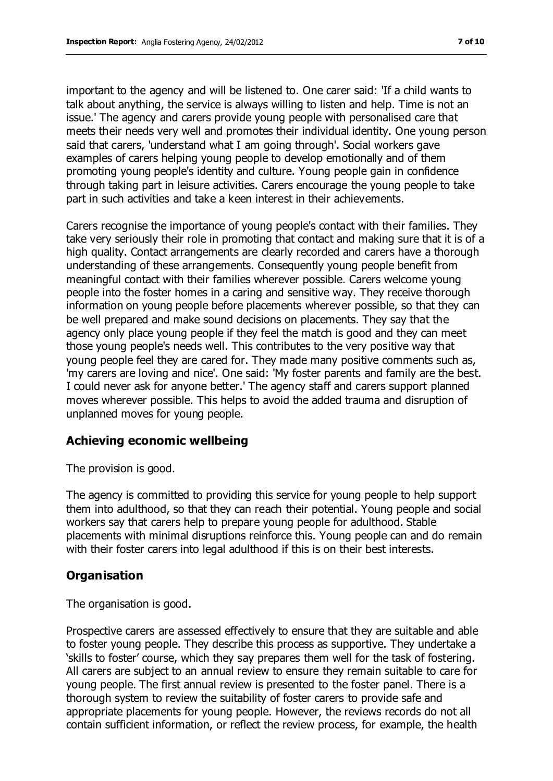important to the agency and will be listened to. One carer said: 'If a child wants to talk about anything, the service is always willing to listen and help. Time is not an issue.' The agency and carers provide young people with personalised care that meets their needs very well and promotes their individual identity. One young person said that carers, 'understand what I am going through'. Social workers gave examples of carers helping young people to develop emotionally and of them promoting young people's identity and culture. Young people gain in confidence through taking part in leisure activities. Carers encourage the young people to take part in such activities and take a keen interest in their achievements.

Carers recognise the importance of young people's contact with their families. They take very seriously their role in promoting that contact and making sure that it is of a high quality. Contact arrangements are clearly recorded and carers have a thorough understanding of these arrangements. Consequently young people benefit from meaningful contact with their families wherever possible. Carers welcome young people into the foster homes in a caring and sensitive way. They receive thorough information on young people before placements wherever possible, so that they can be well prepared and make sound decisions on placements. They say that the agency only place young people if they feel the match is good and they can meet those young people's needs well. This contributes to the very positive way that young people feel they are cared for. They made many positive comments such as, 'my carers are loving and nice'. One said: 'My foster parents and family are the best. I could never ask for anyone better.' The agency staff and carers support planned moves wherever possible. This helps to avoid the added trauma and disruption of unplanned moves for young people.

#### **Achieving economic wellbeing**

The provision is good.

The agency is committed to providing this service for young people to help support them into adulthood, so that they can reach their potential. Young people and social workers say that carers help to prepare young people for adulthood. Stable placements with minimal disruptions reinforce this. Young people can and do remain with their foster carers into legal adulthood if this is on their best interests.

#### **Organisation**

The organisation is good.

Prospective carers are assessed effectively to ensure that they are suitable and able to foster young people. They describe this process as supportive. They undertake a 'skills to foster' course, which they say prepares them well for the task of fostering. All carers are subject to an annual review to ensure they remain suitable to care for young people. The first annual review is presented to the foster panel. There is a thorough system to review the suitability of foster carers to provide safe and appropriate placements for young people. However, the reviews records do not all contain sufficient information, or reflect the review process, for example, the health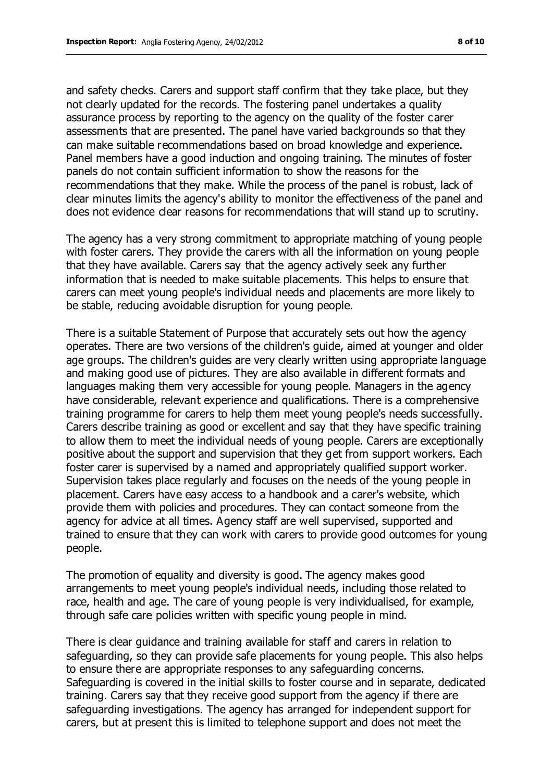and safety checks. Carers and support staff confirm that they take place, but they not clearly updated for the records. The fostering panel undertakes a quality assurance process by reporting to the agency on the quality of the foster carer assessments that are presented. The panel have varied backgrounds so that they can make suitable recommendations based on broad knowledge and experience. Panel members have a good induction and ongoing training. The minutes of foster panels do not contain sufficient information to show the reasons for the recommendations that they make. While the process of the panel is robust, lack of clear minutes limits the agency's ability to monitor the effectiveness of the panel and does not evidence clear reasons for recommendations that will stand up to scrutiny.

The agency has a very strong commitment to appropriate matching of young people with foster carers. They provide the carers with all the information on young people that they have available. Carers say that the agency actively seek any further information that is needed to make suitable placements. This helps to ensure that carers can meet young people's individual needs and placements are more likely to be stable, reducing avoidable disruption for young people.

There is a suitable Statement of Purpose that accurately sets out how the agency operates. There are two versions of the children's guide, aimed at younger and older age groups. The children's guides are very clearly written using appropriate language and making good use of pictures. They are also available in different formats and languages making them very accessible for young people. Managers in the agency have considerable, relevant experience and qualifications. There is a comprehensive training programme for carers to help them meet young people's needs successfully. Carers describe training as good or excellent and say that they have specific training to allow them to meet the individual needs of young people. Carers are exceptionally positive about the support and supervision that they get from support workers. Each foster carer is supervised by a named and appropriately qualified support worker. Supervision takes place regularly and focuses on the needs of the young people in placement. Carers have easy access to a handbook and a carer's website, which provide them with policies and procedures. They can contact someone from the agency for advice at all times. Agency staff are well supervised, supported and trained to ensure that they can work with carers to provide good outcomes for young people.

The promotion of equality and diversity is good. The agency makes good arrangements to meet young people's individual needs, including those related to race, health and age. The care of young people is very individualised, for example, through safe care policies written with specific young people in mind.

There is clear guidance and training available for staff and carers in relation to safeguarding, so they can provide safe placements for young people. This also helps to ensure there are appropriate responses to any safeguarding concerns. Safeguarding is covered in the initial skills to foster course and in separate, dedicated training. Carers say that they receive good support from the agency if there are safeguarding investigations. The agency has arranged for independent support for carers, but at present this is limited to telephone support and does not meet the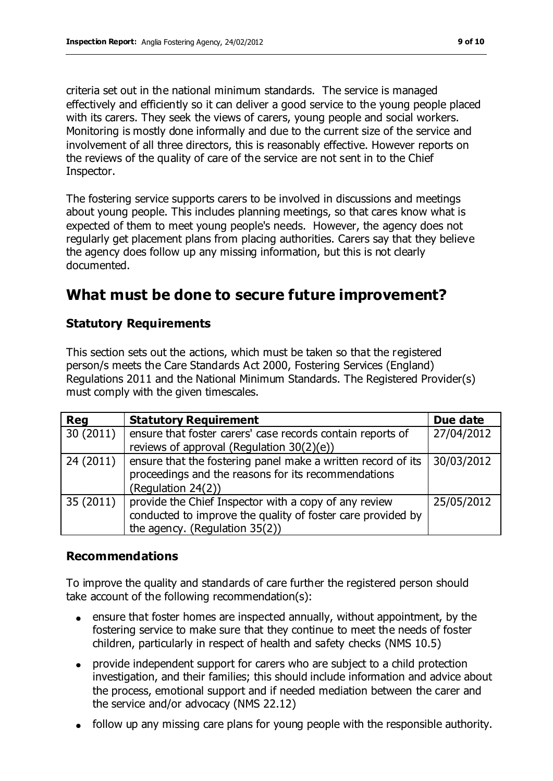criteria set out in the national minimum standards. The service is managed effectively and efficiently so it can deliver a good service to the young people placed with its carers. They seek the views of carers, young people and social workers. Monitoring is mostly done informally and due to the current size of the service and involvement of all three directors, this is reasonably effective. However reports on the reviews of the quality of care of the service are not sent in to the Chief Inspector.

The fostering service supports carers to be involved in discussions and meetings about young people. This includes planning meetings, so that cares know what is expected of them to meet young people's needs. However, the agency does not regularly get placement plans from placing authorities. Carers say that they believe the agency does follow up any missing information, but this is not clearly documented.

# **What must be done to secure future improvement?**

## **Statutory Requirements**

This section sets out the actions, which must be taken so that the registered person/s meets the Care Standards Act 2000, Fostering Services (England) Regulations 2011 and the National Minimum Standards. The Registered Provider(s) must comply with the given timescales.

| <b>Reg</b> | <b>Statutory Requirement</b>                                                                                                                           | Due date   |
|------------|--------------------------------------------------------------------------------------------------------------------------------------------------------|------------|
| 30(2011)   | ensure that foster carers' case records contain reports of<br>reviews of approval (Regulation 30(2)(e))                                                | 27/04/2012 |
| 24(2011)   | $\vert$ ensure that the fostering panel make a written record of its<br>proceedings and the reasons for its recommendations<br>(Regulation 24(2))      | 30/03/2012 |
| 35(2011)   | provide the Chief Inspector with a copy of any review<br>conducted to improve the quality of foster care provided by<br>the agency. (Regulation 35(2)) | 25/05/2012 |

#### **Recommendations**

To improve the quality and standards of care further the registered person should take account of the following recommendation(s):

- ensure that foster homes are inspected annually, without appointment, by the fostering service to make sure that they continue to meet the needs of foster children, particularly in respect of health and safety checks (NMS 10.5)
- provide independent support for carers who are subject to a child protection  $\bullet$ investigation, and their families; this should include information and advice about the process, emotional support and if needed mediation between the carer and the service and/or advocacy (NMS 22.12)
- follow up any missing care plans for young people with the responsible authority.